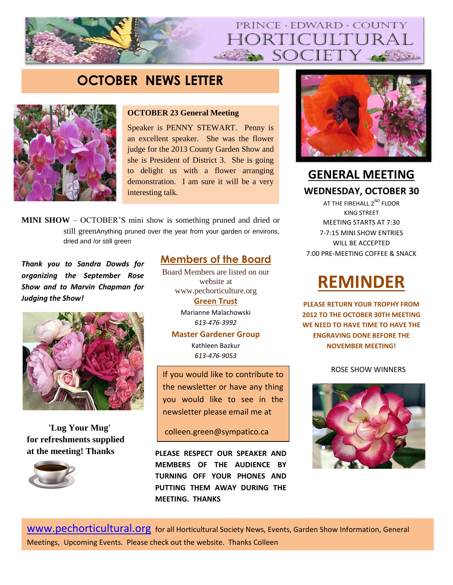## PRINCE · EDWARD · COUNTY ORTICULTUR SOCIETY

## **OCTOBER NEWS LETTER**



### **OCTOBER 23 General Meeting**

Speaker is PENNY STEWART. Penny is an excellent speaker. She was the flower judge for the 2013 County Garden Show and she is President of District 3. She is going to delight us with a flower arranging demonstration. I am sure it will be a very interesting talk.

**MINI SHOW** – OCTOBER'S mini show is something pruned and dried or still greenAnything pruned over the year from your garden or environs, dried and /or still green

**Thank you to Sandra Dowds for organizing the September Rose** Down Nembers are instead on our Show and to Marvin Chapman for *WARRY WOOST Judging the Show!*



**'Lug Your Mug' for refreshments supplied at the meeting! Thanks**



**Members of the Board** Board Members are listed on our website at

Judging the Show! And the most number of firsts. <u>Green Trust</u> www.pechorticulture.org Marianne Malachowski *613-476-3992*

#### **Master Gardener Group**

Kathleen Bazkur *613-476-9053*

If you would like to contribute to the newsletter or have any thing you would like to see in the newsletter please email me at

colleen.green@sympatico.ca

**PLEASE RESPECT OUR SPEAKER AND MEMBERS OF THE AUDIENCE BY TURNING OFF YOUR PHONES AND PUTTING THEM AWAY DURING THE MEETING. THANKS**



**GENERAL MEETING WEDNESDAY, OCTOBER 30**

AT THE FIREHALL 2<sup>ND</sup> FLOOR KING STREET MEETING STARTS AT 7:30 7-7:15 MINI SHOW ENTRIES WILL BE ACCEPTED 7:00 PRE-MEETING COFFEE & SNACK

# **REMINDER**

**PLEASE RETURN YOUR TROPHY FROM 2012 TO THE OCTOBER 30TH MEETING WE NEED TO HAVE TIME TO HAVE THE ENGRAVING DONE BEFORE THE NOVEMBER MEETING**!

### ROSE SHOW WINNERS



[www.pechorticultural.org](http://www.pechorticultural.org/) for all Horticultural Society News, Events, Garden Show Information, General Meetings, Upcoming Events. Please check out the website. Thanks Colleen